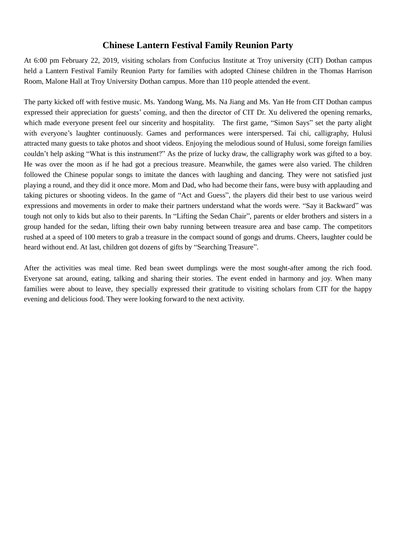## **Chinese Lantern Festival Family Reunion Party**

At 6:00 pm February 22, 2019, visiting scholars from Confucius Institute at Troy university (CIT) Dothan campus held a Lantern Festival Family Reunion Party for families with adopted Chinese children in the Thomas Harrison Room, Malone Hall at Troy University Dothan campus. More than 110 people attended the event.

The party kicked off with festive music. Ms. Yandong Wang, Ms. Na Jiang and Ms. Yan He from CIT Dothan campus expressed their appreciation for guests' coming, and then the director of CIT Dr. Xu delivered the opening remarks, which made everyone present feel our sincerity and hospitality. The first game, "Simon Says" set the party alight with everyone's laughter continuously. Games and performances were interspersed. Tai chi, calligraphy, Hulusi attracted many guests to take photos and shoot videos. Enjoying the melodious sound of Hulusi, some foreign families couldn't help asking "What is this instrument?" As the prize of lucky draw, the calligraphy work was gifted to a boy. He was over the moon as if he had got a precious treasure. Meanwhile, the games were also varied. The children followed the Chinese popular songs to imitate the dances with laughing and dancing. They were not satisfied just playing a round, and they did it once more. Mom and Dad, who had become their fans, were busy with applauding and taking pictures or shooting videos. In the game of "Act and Guess", the players did their best to use various weird expressions and movements in order to make their partners understand what the words were. "Say it Backward" was tough not only to kids but also to their parents. In "Lifting the Sedan Chair", parents or elder brothers and sisters in a group handed for the sedan, lifting their own baby running between treasure area and base camp. The competitors rushed at a speed of 100 meters to grab a treasure in the compact sound of gongs and drums. Cheers, laughter could be heard without end. At last, children got dozens of gifts by "Searching Treasure".

After the activities was meal time. Red bean sweet dumplings were the most sought-after among the rich food. Everyone sat around, eating, talking and sharing their stories. The event ended in harmony and joy. When many families were about to leave, they specially expressed their gratitude to visiting scholars from CIT for the happy evening and delicious food. They were looking forward to the next activity.